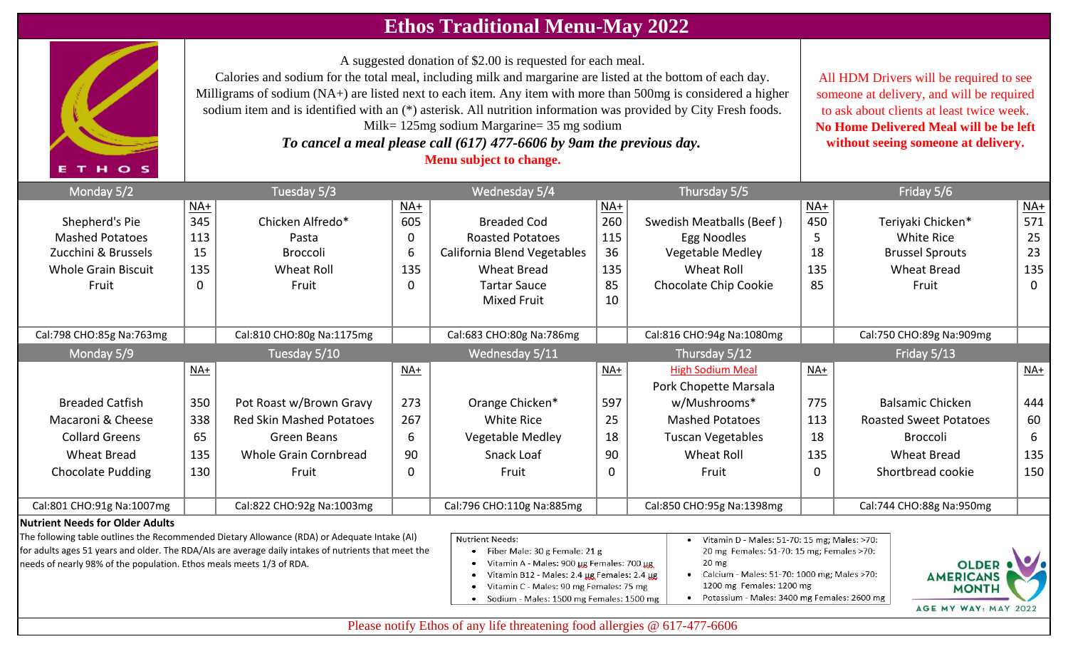## **Ethos Traditional Menu-May 2022**

A suggested donation of \$2.00 is requested for each meal.

Calories and sodium for the total meal, including milk and margarine are listed at the bottom of each day. Milligrams of sodium (NA+) are listed next to each item. Any item with more than 500mg is considered a higher sodium item and is identified with an (\*) asterisk. All nutrition information was provided by City Fresh foods. Milk= 125mg sodium Margarine= 35 mg sodium

*To cancel a meal please call (617) 477-6606 by 9am the previous day.*  **Menu subject to change.** 

All HDM Drivers will be required to see someone at delivery, and will be required to ask about clients at least twice week. **No Home Delivered Meal will be be left without seeing someone at delivery.**

| Monday 5/2                             |       | Tuesday 5/3                     |                   | Wednesday 5/4               |       | Thursday 5/5                    |                   | Friday 5/6                    |                   |
|----------------------------------------|-------|---------------------------------|-------------------|-----------------------------|-------|---------------------------------|-------------------|-------------------------------|-------------------|
|                                        | $NA+$ |                                 | $\underline{NA+}$ |                             | NA+   |                                 | $\underline{NA+}$ |                               | $NA+$             |
| Shepherd's Pie                         | 345   | Chicken Alfredo*                | 605               | <b>Breaded Cod</b>          | 260   | <b>Swedish Meatballs (Beef)</b> | 450               | Teriyaki Chicken*             | 571               |
| <b>Mashed Potatoes</b>                 | 113   | Pasta                           | 0                 | <b>Roasted Potatoes</b>     | 115   | Egg Noodles                     | 5                 | White Rice                    | 25                |
| Zucchini & Brussels                    | 15    | <b>Broccoli</b>                 | 6                 | California Blend Vegetables | 36    | <b>Vegetable Medley</b>         | 18                | <b>Brussel Sprouts</b>        | 23                |
| <b>Whole Grain Biscuit</b>             | 135   | <b>Wheat Roll</b>               | 135               | <b>Wheat Bread</b>          | 135   | Wheat Roll                      | 135               | <b>Wheat Bread</b>            | 135               |
| Fruit                                  | 0     | Fruit                           | 0                 | <b>Tartar Sauce</b>         | 85    | Chocolate Chip Cookie           | 85                | Fruit                         | $\mathbf{0}$      |
|                                        |       |                                 |                   | <b>Mixed Fruit</b>          | 10    |                                 |                   |                               |                   |
|                                        |       |                                 |                   |                             |       |                                 |                   |                               |                   |
| Cal:798 CHO:85g Na:763mg               |       | Cal:810 CHO:80g Na:1175mg       |                   | Cal:683 CHO:80g Na:786mg    |       | Cal:816 CHO:94g Na:1080mg       |                   | Cal:750 CHO:89g Na:909mg      |                   |
| Monday 5/9                             |       | Tuesday 5/10                    |                   | Wednesday 5/11              |       | Thursday 5/12                   |                   | Friday 5/13                   |                   |
|                                        | $NA+$ |                                 | NA+               |                             | $NA+$ | <b>High Sodium Meal</b>         | NA+               |                               | $\underline{NA+}$ |
|                                        |       |                                 |                   |                             |       | Pork Chopette Marsala           |                   |                               |                   |
| <b>Breaded Catfish</b>                 | 350   | Pot Roast w/Brown Gravy         | 273               | Orange Chicken*             | 597   | w/Mushrooms*                    | 775               | <b>Balsamic Chicken</b>       | 444               |
| Macaroni & Cheese                      | 338   | <b>Red Skin Mashed Potatoes</b> | 267               | White Rice                  | 25    | <b>Mashed Potatoes</b>          | 113               | <b>Roasted Sweet Potatoes</b> | 60                |
| <b>Collard Greens</b>                  | 65    | Green Beans                     | 6                 | <b>Vegetable Medley</b>     | 18    | <b>Tuscan Vegetables</b>        | 18                | <b>Broccoli</b>               | 6                 |
| <b>Wheat Bread</b>                     | 135   | Whole Grain Cornbread           | 90                | Snack Loaf                  | 90    | Wheat Roll                      | 135               | <b>Wheat Bread</b>            | 135               |
| <b>Chocolate Pudding</b>               | 130   | Fruit                           | 0                 | Fruit                       | 0     | Fruit                           | 0                 | Shortbread cookie             | 150               |
|                                        |       |                                 |                   |                             |       |                                 |                   |                               |                   |
| Cal:801 CHO:91g Na:1007mg              |       | Cal:822 CHO:92g Na:1003mg       |                   | Cal:796 CHO:110g Na:885mg   |       | Cal:850 CHO:95g Na:1398mg       |                   | Cal:744 CHO:88g Na:950mg      |                   |
| <b>Nutrient Needs for Older Adults</b> |       |                                 |                   |                             |       |                                 |                   |                               |                   |

The following table outlines the Recommended Dietary Allowance (RDA) or Adequate Intake (AI) for adults ages 51 years and older. The RDA/AIs are average daily intakes of nutrients that meet the needs of nearly 98% of the population. Ethos meals meets 1/3 of RDA.

THOS

- **Nutrient Needs:**
- Fiber Male: 30 g Female: 21 g
- Vitamin A Males: 900 µg Females: 700 µg
- Vitamin B12 Males: 2.4 µg Females: 2.4 µg
- Vitamin C Males: 90 mg Females: 75 mg
- · Sodium Males: 1500 mg Females: 1500 mg
- Vitamin D Males: 51-70: 15 mg; Males: >70: 20 mg Females: 51-70: 15 mg; Females >70:  $20<sub>mg</sub>$
- Calcium Males: 51-70: 1000 mg; Males >70: 1200 mg Females: 1200 mg
- Potassium Males: 3400 mg Females: 2600 mg



Please notify Ethos of any life threatening food allergies @ 617-477-6606